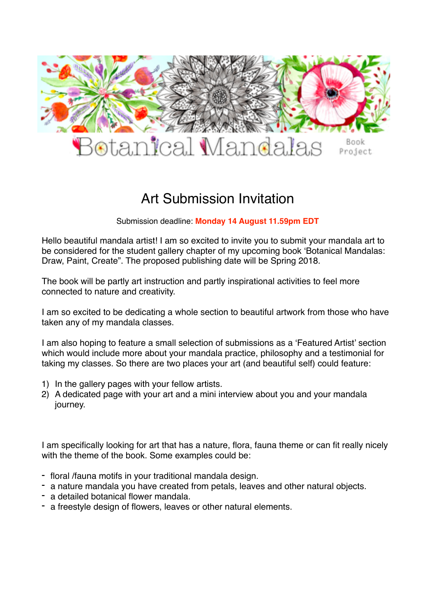

# Art Submission Invitation

Submission deadline: **Monday 14 August 11.59pm EDT**

Hello beautiful mandala artist! I am so excited to invite you to submit your mandala art to be considered for the student gallery chapter of my upcoming book 'Botanical Mandalas: Draw, Paint, Create". The proposed publishing date will be Spring 2018.

The book will be partly art instruction and partly inspirational activities to feel more connected to nature and creativity.

I am so excited to be dedicating a whole section to beautiful artwork from those who have taken any of my mandala classes.

I am also hoping to feature a small selection of submissions as a 'Featured Artist' section which would include more about your mandala practice, philosophy and a testimonial for taking my classes. So there are two places your art (and beautiful self) could feature:

- 1) In the gallery pages with your fellow artists.
- 2) A dedicated page with your art and a mini interview about you and your mandala journey.

I am specifically looking for art that has a nature, flora, fauna theme or can fit really nicely with the theme of the book. Some examples could be:

- floral /fauna motifs in your traditional mandala design.
- a nature mandala you have created from petals, leaves and other natural objects.
- a detailed botanical flower mandala.
- a freestyle design of flowers, leaves or other natural elements.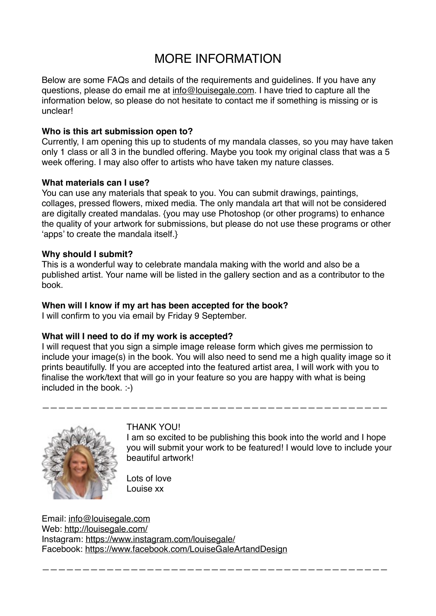# MORE INFORMATION

Below are some FAQs and details of the requirements and guidelines. If you have any questions, please do email me at [info@louisegale.com](mailto:info@louisegale.com). I have tried to capture all the information below, so please do not hesitate to contact me if something is missing or is unclear!

#### **Who is this art submission open to?**

Currently, I am opening this up to students of my mandala classes, so you may have taken only 1 class or all 3 in the bundled offering. Maybe you took my original class that was a 5 week offering. I may also offer to artists who have taken my nature classes.

#### **What materials can I use?**

You can use any materials that speak to you. You can submit drawings, paintings, collages, pressed flowers, mixed media. The only mandala art that will not be considered are digitally created mandalas. {you may use Photoshop (or other programs) to enhance the quality of your artwork for submissions, but please do not use these programs or other 'apps' to create the mandala itself.}

#### **Why should I submit?**

This is a wonderful way to celebrate mandala making with the world and also be a published artist. Your name will be listed in the gallery section and as a contributor to the book.

#### **When will I know if my art has been accepted for the book?**

I will confirm to you via email by Friday 9 September.

## **What will I need to do if my work is accepted?**

I will request that you sign a simple image release form which gives me permission to include your image(s) in the book. You will also need to send me a high quality image so it prints beautifully. If you are accepted into the featured artist area, I will work with you to finalise the work/text that will go in your feature so you are happy with what is being included in the book. :-)

———————————————————————————————————————————

———————————————————————————————————————————



## THANK YOU!

I am so excited to be publishing this book into the world and I hope you will submit your work to be featured! I would love to include your beautiful artwork!

Lots of love Louise xx

Email: [info@louisegale.com](mailto:info@louisegale.com) Web:<http://louisegale.com/> Instagram:<https://www.instagram.com/louisegale/> Facebook:<https://www.facebook.com/LouiseGaleArtandDesign>